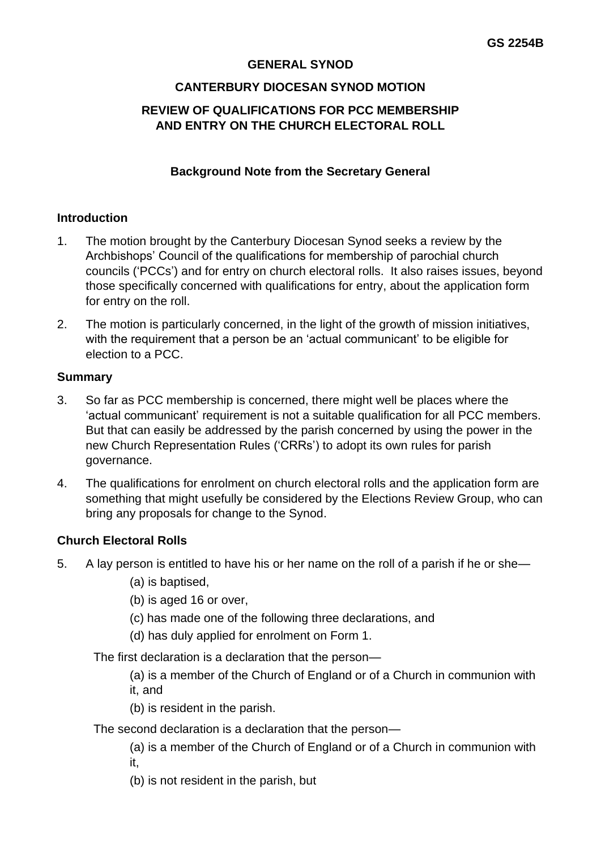### **GENERAL SYNOD**

## **CANTERBURY DIOCESAN SYNOD MOTION**

# **REVIEW OF QUALIFICATIONS FOR PCC MEMBERSHIP AND ENTRY ON THE CHURCH ELECTORAL ROLL**

### **Background Note from the Secretary General**

#### **Introduction**

- 1. The motion brought by the Canterbury Diocesan Synod seeks a review by the Archbishops' Council of the qualifications for membership of parochial church councils ('PCCs') and for entry on church electoral rolls. It also raises issues, beyond those specifically concerned with qualifications for entry, about the application form for entry on the roll.
- 2. The motion is particularly concerned, in the light of the growth of mission initiatives, with the requirement that a person be an 'actual communicant' to be eligible for election to a PCC.

#### **Summary**

- 3. So far as PCC membership is concerned, there might well be places where the 'actual communicant' requirement is not a suitable qualification for all PCC members. But that can easily be addressed by the parish concerned by using the power in the new Church Representation Rules ('CRRs') to adopt its own rules for parish governance.
- 4. The qualifications for enrolment on church electoral rolls and the application form are something that might usefully be considered by the Elections Review Group, who can bring any proposals for change to the Synod.

#### **Church Electoral Rolls**

- 5. A lay person is entitled to have his or her name on the roll of a parish if he or she—
	- (a) is baptised,
	- (b) is aged 16 or over,
	- (c) has made one of the following three declarations, and
	- (d) has duly applied for enrolment on Form 1.

The first declaration is a declaration that the person—

(a) is a member of the Church of England or of a Church in communion with it, and

- (b) is resident in the parish.
- The second declaration is a declaration that the person—

(a) is a member of the Church of England or of a Church in communion with it,

(b) is not resident in the parish, but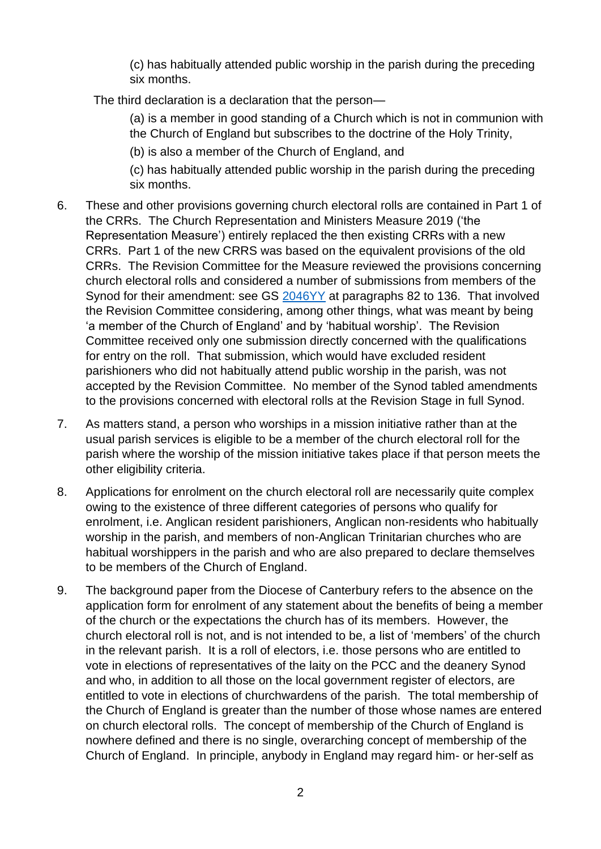(c) has habitually attended public worship in the parish during the preceding six months.

The third declaration is a declaration that the person—

(a) is a member in good standing of a Church which is not in communion with the Church of England but subscribes to the doctrine of the Holy Trinity,

(b) is also a member of the Church of England, and

(c) has habitually attended public worship in the parish during the preceding six months.

- 6. These and other provisions governing church electoral rolls are contained in Part 1 of the CRRs. The Church Representation and Ministers Measure 2019 ('the Representation Measure') entirely replaced the then existing CRRs with a new CRRs. Part 1 of the new CRRS was based on the equivalent provisions of the old CRRs. The Revision Committee for the Measure reviewed the provisions concerning church electoral rolls and considered a number of submissions from members of the Synod for their amendment: see GS [2046YY](https://www.churchofengland.org/sites/default/files/2018-06/GS%202046YY%20and%20GS%202047YY%20-%20Church%20Represenation%20and%20Minister%20Measure%20%28Revision%20Committee%20report%29.pdf) at paragraphs 82 to 136. That involved the Revision Committee considering, among other things, what was meant by being 'a member of the Church of England' and by 'habitual worship'. The Revision Committee received only one submission directly concerned with the qualifications for entry on the roll. That submission, which would have excluded resident parishioners who did not habitually attend public worship in the parish, was not accepted by the Revision Committee. No member of the Synod tabled amendments to the provisions concerned with electoral rolls at the Revision Stage in full Synod.
- 7. As matters stand, a person who worships in a mission initiative rather than at the usual parish services is eligible to be a member of the church electoral roll for the parish where the worship of the mission initiative takes place if that person meets the other eligibility criteria.
- 8. Applications for enrolment on the church electoral roll are necessarily quite complex owing to the existence of three different categories of persons who qualify for enrolment, i.e. Anglican resident parishioners, Anglican non-residents who habitually worship in the parish, and members of non-Anglican Trinitarian churches who are habitual worshippers in the parish and who are also prepared to declare themselves to be members of the Church of England.
- 9. The background paper from the Diocese of Canterbury refers to the absence on the application form for enrolment of any statement about the benefits of being a member of the church or the expectations the church has of its members. However, the church electoral roll is not, and is not intended to be, a list of 'members' of the church in the relevant parish. It is a roll of electors, i.e. those persons who are entitled to vote in elections of representatives of the laity on the PCC and the deanery Synod and who, in addition to all those on the local government register of electors, are entitled to vote in elections of churchwardens of the parish. The total membership of the Church of England is greater than the number of those whose names are entered on church electoral rolls. The concept of membership of the Church of England is nowhere defined and there is no single, overarching concept of membership of the Church of England. In principle, anybody in England may regard him- or her-self as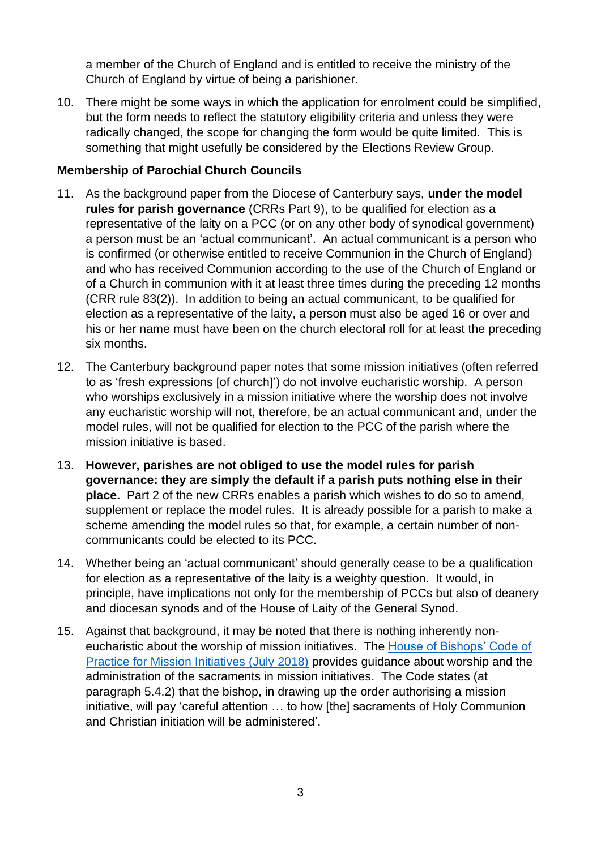a member of the Church of England and is entitled to receive the ministry of the Church of England by virtue of being a parishioner.

10. There might be some ways in which the application for enrolment could be simplified, but the form needs to reflect the statutory eligibility criteria and unless they were radically changed, the scope for changing the form would be quite limited. This is something that might usefully be considered by the Elections Review Group.

# **Membership of Parochial Church Councils**

- 11. As the background paper from the Diocese of Canterbury says, **under the model rules for parish governance** (CRRs Part 9), to be qualified for election as a representative of the laity on a PCC (or on any other body of synodical government) a person must be an 'actual communicant'. An actual communicant is a person who is confirmed (or otherwise entitled to receive Communion in the Church of England) and who has received Communion according to the use of the Church of England or of a Church in communion with it at least three times during the preceding 12 months (CRR rule 83(2)). In addition to being an actual communicant, to be qualified for election as a representative of the laity, a person must also be aged 16 or over and his or her name must have been on the church electoral roll for at least the preceding six months.
- 12. The Canterbury background paper notes that some mission initiatives (often referred to as 'fresh expressions [of church]') do not involve eucharistic worship. A person who worships exclusively in a mission initiative where the worship does not involve any eucharistic worship will not, therefore, be an actual communicant and, under the model rules, will not be qualified for election to the PCC of the parish where the mission initiative is based.
- 13. **However, parishes are not obliged to use the model rules for parish governance: they are simply the default if a parish puts nothing else in their place.** Part 2 of the new CRRs enables a parish which wishes to do so to amend, supplement or replace the model rules. It is already possible for a parish to make a scheme amending the model rules so that, for example, a certain number of noncommunicants could be elected to its PCC.
- 14. Whether being an 'actual communicant' should generally cease to be a qualification for election as a representative of the laity is a weighty question. It would, in principle, have implications not only for the membership of PCCs but also of deanery and diocesan synods and of the House of Laity of the General Synod.
- 15. Against that background, it may be noted that there is nothing inherently noneucharistic about the worship of mission initiatives. The [House of Bishops' Code of](https://www.churchofengland.org/sites/default/files/2018-07/GS%202109%20-%20Code%20of%20Practice%20on%20Mission%20Initiatives.pdf)  Practice [for Mission Initiatives](https://www.churchofengland.org/sites/default/files/2018-07/GS%202109%20-%20Code%20of%20Practice%20on%20Mission%20Initiatives.pdf) (July 2018) provides guidance about worship and the administration of the sacraments in mission initiatives. The Code states (at paragraph 5.4.2) that the bishop, in drawing up the order authorising a mission initiative, will pay 'careful attention … to how [the] sacraments of Holy Communion and Christian initiation will be administered'.